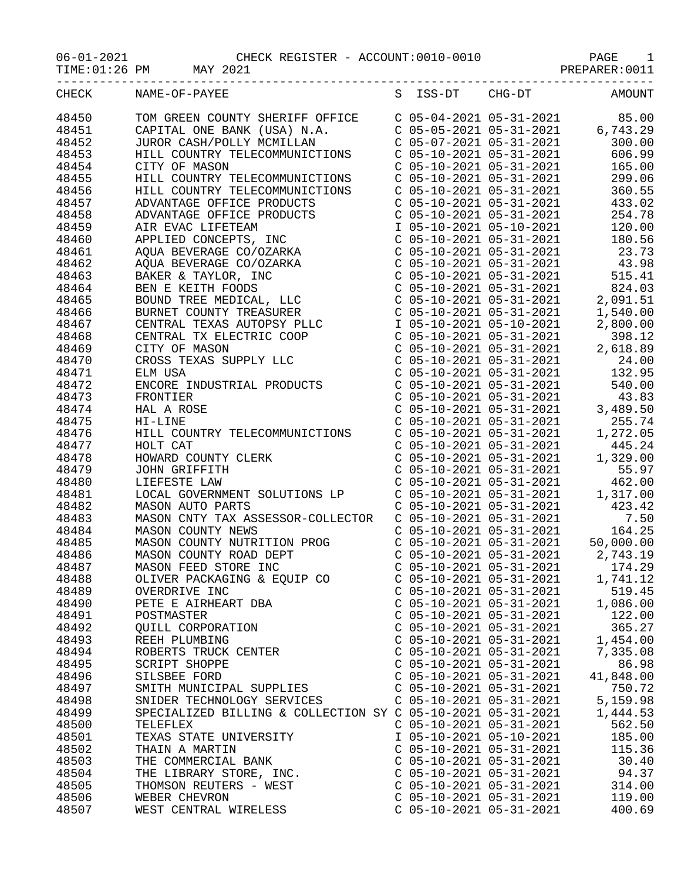|       | TIME: 01:26 PM MAY 2021                                                                                                                                                                                                                                   |                                                                                                                             | PREPARER: 0011                                                                                                                                                                                                                                                                                          |
|-------|-----------------------------------------------------------------------------------------------------------------------------------------------------------------------------------------------------------------------------------------------------------|-----------------------------------------------------------------------------------------------------------------------------|---------------------------------------------------------------------------------------------------------------------------------------------------------------------------------------------------------------------------------------------------------------------------------------------------------|
| CHECK | NAME-OF-PAYEE                                                                                                                                                                                                                                             | S ISS-DT CHG-DT                                                                                                             | <b>AMOUNT</b>                                                                                                                                                                                                                                                                                           |
| 48450 | TOM GREEN COUNTY SHERIFF OFFICE                                                                                                                                                                                                                           |                                                                                                                             | $\begin{array}{cccc} \texttt{C} & 05\texttt{-}04\texttt{-}2021 & 05\texttt{-}31\texttt{-}2021 & 85.00 \\ \texttt{C} & 05\texttt{-}05\texttt{-}2021 & 05\texttt{-}31\texttt{-}2021 & 6,743.29 \\ \texttt{C} & 05\texttt{-}07\texttt{-}2021 & 05\texttt{-}31\texttt{-}2021 & 300.00 \end{array}$          |
| 48451 | CAPITAL ONE BANK (USA) N.A.                                                                                                                                                                                                                               |                                                                                                                             |                                                                                                                                                                                                                                                                                                         |
| 48452 | JUROR CASH/POLLY MCMILLAN                                                                                                                                                                                                                                 |                                                                                                                             |                                                                                                                                                                                                                                                                                                         |
| 48453 | HILL COUNTRY TELECOMMUNICTIONS                                                                                                                                                                                                                            | $C$ 05-10-2021 05-31-2021                                                                                                   | 606.99                                                                                                                                                                                                                                                                                                  |
| 48454 | CITY OF MASON                                                                                                                                                                                                                                             | $C$ 05-10-2021 05-31-2021                                                                                                   | 165.00                                                                                                                                                                                                                                                                                                  |
| 48455 | HILL COUNTRY TELECOMMUNICTIONS                                                                                                                                                                                                                            |                                                                                                                             |                                                                                                                                                                                                                                                                                                         |
| 48456 | HILL COUNTRY TELECOMMUNICTIONS                                                                                                                                                                                                                            |                                                                                                                             |                                                                                                                                                                                                                                                                                                         |
| 48457 |                                                                                                                                                                                                                                                           |                                                                                                                             | $\begin{array}{cccc} \texttt{C} & 05\texttt{-}10\texttt{-}2021 & 05\texttt{-}31\texttt{-}2021 & & 299.06 \\ \texttt{C} & 05\texttt{-}10\texttt{-}2021 & 05\texttt{-}31\texttt{-}2021 & 360.55 \\ \texttt{C} & 05\texttt{-}10\texttt{-}2021 & 05\texttt{-}31\texttt{-}2021 & 433.02 \\ \end{array}$      |
| 48458 |                                                                                                                                                                                                                                                           | $C$ 05-10-2021 05-31-2021                                                                                                   | 254.78                                                                                                                                                                                                                                                                                                  |
| 48459 |                                                                                                                                                                                                                                                           | I 05-10-2021 05-10-2021                                                                                                     | 120.00                                                                                                                                                                                                                                                                                                  |
| 48460 |                                                                                                                                                                                                                                                           | $C$ 05-10-2021 05-31-2021                                                                                                   | 180.56                                                                                                                                                                                                                                                                                                  |
| 48461 |                                                                                                                                                                                                                                                           |                                                                                                                             |                                                                                                                                                                                                                                                                                                         |
| 48462 |                                                                                                                                                                                                                                                           |                                                                                                                             | $\left. \begin{array}{llll} \mbox{C} & 05\mbox{-}10\mbox{-}2021 & 05\mbox{-}31\mbox{-}2021 & & 23\mbox{.}73 \\ \mbox{C} & 05\mbox{-}10\mbox{-}2021 & 05\mbox{-}31\mbox{-}2021 & & 43\mbox{.}98 \\ \mbox{C} & 05\mbox{-}10\mbox{-}2021 & 05\mbox{-}31\mbox{-}2021 & & 515\mbox{.}41 \end{array} \right.$ |
| 48463 |                                                                                                                                                                                                                                                           |                                                                                                                             |                                                                                                                                                                                                                                                                                                         |
| 48464 |                                                                                                                                                                                                                                                           | $C$ 05-10-2021 05-31-2021                                                                                                   | 824.03                                                                                                                                                                                                                                                                                                  |
| 48465 |                                                                                                                                                                                                                                                           | C 05-10-2021 05-31-2021                                                                                                     | 2,091.51                                                                                                                                                                                                                                                                                                |
| 48466 |                                                                                                                                                                                                                                                           |                                                                                                                             | 1,540.00                                                                                                                                                                                                                                                                                                |
| 48467 |                                                                                                                                                                                                                                                           |                                                                                                                             | 2,800.00                                                                                                                                                                                                                                                                                                |
| 48468 | ALLE COUNIRY TELECOMMUNICTIONS<br>ADVANTAGE OFFICE PRODUCTS<br>ADVANTAGE OFFICE PRODUCTS<br>AIR EVAC LIFETEAM<br>APPLIED CONCEPTS, INC<br>AQUA BEVERAGE CO/OZARKA<br>AQUA BEVERAGE CO/OZARKA<br>AQUA BEVERAGE CO/OZARKA<br>BAKER & TAYLOR, INC<br>BEN E K | $\begin{array}{cccc} C&05-10-2021&05-31-2021&1,\\ \text{I}&05-10-2021&05-10-2021&2,\\ C&05-10-2021&05-31-2021& \end{array}$ | 398.12                                                                                                                                                                                                                                                                                                  |
| 48469 |                                                                                                                                                                                                                                                           | $C$ 05-10-2021 05-31-2021                                                                                                   | 2,618.89                                                                                                                                                                                                                                                                                                |
| 48470 | CROSS TEXAS SUPPLY LLC                                                                                                                                                                                                                                    |                                                                                                                             | $C$ 05-10-2021 05-31-2021 24.00                                                                                                                                                                                                                                                                         |
| 48471 | ELM USA                                                                                                                                                                                                                                                   | $C$ 05-10-2021 05-31-2021                                                                                                   | 132.95                                                                                                                                                                                                                                                                                                  |
| 48472 | ENCORE INDUSTRIAL PRODUCTS                                                                                                                                                                                                                                | C 05-10-2021 05-31-2021<br>C 05-10-2021 05-31-2021<br>C 05-10-2021 05-31-2021                                               | 540.00                                                                                                                                                                                                                                                                                                  |
| 48473 | FRONTIER                                                                                                                                                                                                                                                  |                                                                                                                             | 43.83                                                                                                                                                                                                                                                                                                   |
| 48474 | HAL A ROSE                                                                                                                                                                                                                                                |                                                                                                                             | 3,489.50                                                                                                                                                                                                                                                                                                |
| 48475 | HI-LINE                                                                                                                                                                                                                                                   | $C$ 05-10-2021 05-31-2021                                                                                                   | 255.74                                                                                                                                                                                                                                                                                                  |
| 48476 | HILL COUNTRY TELECOMMUNICTIONS                                                                                                                                                                                                                            | $C$ 05-10-2021 05-31-2021                                                                                                   | 1,272.05                                                                                                                                                                                                                                                                                                |
| 48477 | HOLT CAT                                                                                                                                                                                                                                                  |                                                                                                                             | 445.24                                                                                                                                                                                                                                                                                                  |
| 48478 | HOWARD COUNTY CLERK<br>JOHN GRIFFITH<br>LIEFESTE LAW<br>LOGAT GAMENTY                                                                                                                                                                                     |                                                                                                                             | 1,329.00                                                                                                                                                                                                                                                                                                |
| 48479 |                                                                                                                                                                                                                                                           |                                                                                                                             | 55.97                                                                                                                                                                                                                                                                                                   |
| 48480 |                                                                                                                                                                                                                                                           | $C$ 05-10-2021 05-31-2021                                                                                                   | 462.00                                                                                                                                                                                                                                                                                                  |
| 48481 | LOCAL GOVERNMENT SOLUTIONS LP                                                                                                                                                                                                                             | $C$ 05-10-2021 05-31-2021                                                                                                   | 1,317.00                                                                                                                                                                                                                                                                                                |
| 48482 | MASON AUTO PARTS                                                                                                                                                                                                                                          | C 05-10-2021 05-31-2021<br>C 05-10-2021 05-31-2021<br>C 05-10-2021 05-31-2021                                               | 423.42                                                                                                                                                                                                                                                                                                  |
| 48483 | MASON CNTY TAX ASSESSOR-COLLECTOR                                                                                                                                                                                                                         |                                                                                                                             | 7.50                                                                                                                                                                                                                                                                                                    |
| 48484 | MASON COUNTY NEWS                                                                                                                                                                                                                                         |                                                                                                                             | 164.25                                                                                                                                                                                                                                                                                                  |
| 48485 | MASON COUNTY NUTRITION PROG                                                                                                                                                                                                                               |                                                                                                                             | $C$ 05-10-2021 05-31-2021 50,000.00                                                                                                                                                                                                                                                                     |
| 48486 | MASON COUNTY ROAD DEPT                                                                                                                                                                                                                                    | $C$ 05-10-2021 05-31-2021                                                                                                   | 2,743.19                                                                                                                                                                                                                                                                                                |
| 48487 | MASON FEED STORE INC                                                                                                                                                                                                                                      | $C$ 05-10-2021 05-31-2021                                                                                                   | 174.29                                                                                                                                                                                                                                                                                                  |
| 48488 | OLIVER PACKAGING & EQUIP CO                                                                                                                                                                                                                               | $C$ 05-10-2021 05-31-2021                                                                                                   | 1,741.12                                                                                                                                                                                                                                                                                                |
| 48489 | OVERDRIVE INC                                                                                                                                                                                                                                             | $C$ 05-10-2021 05-31-2021                                                                                                   | 519.45                                                                                                                                                                                                                                                                                                  |
| 48490 | PETE E AIRHEART DBA                                                                                                                                                                                                                                       | $C$ 05-10-2021 05-31-2021                                                                                                   | 1,086.00                                                                                                                                                                                                                                                                                                |
| 48491 | POSTMASTER                                                                                                                                                                                                                                                | $C$ 05-10-2021 05-31-2021                                                                                                   | 122.00                                                                                                                                                                                                                                                                                                  |
| 48492 | QUILL CORPORATION                                                                                                                                                                                                                                         | $C$ 05-10-2021 05-31-2021                                                                                                   | 365.27                                                                                                                                                                                                                                                                                                  |
| 48493 | REEH PLUMBING                                                                                                                                                                                                                                             | C 05-10-2021 05-31-2021                                                                                                     | 1,454.00                                                                                                                                                                                                                                                                                                |
| 48494 | ROBERTS TRUCK CENTER                                                                                                                                                                                                                                      | C 05-10-2021 05-31-2021                                                                                                     | 7,335.08                                                                                                                                                                                                                                                                                                |
| 48495 | <b>SCRIPT SHOPPE</b>                                                                                                                                                                                                                                      | C 05-10-2021 05-31-2021                                                                                                     | 86.98                                                                                                                                                                                                                                                                                                   |
| 48496 | SILSBEE FORD                                                                                                                                                                                                                                              | $C$ 05-10-2021 05-31-2021                                                                                                   | 41,848.00                                                                                                                                                                                                                                                                                               |
| 48497 | SMITH MUNICIPAL SUPPLIES                                                                                                                                                                                                                                  | C 05-10-2021 05-31-2021                                                                                                     | 750.72                                                                                                                                                                                                                                                                                                  |
| 48498 | SNIDER TECHNOLOGY SERVICES                                                                                                                                                                                                                                | $C$ 05-10-2021 05-31-2021                                                                                                   | 5,159.98                                                                                                                                                                                                                                                                                                |
| 48499 | SPECIALIZED BILLING & COLLECTION SY C 05-10-2021 05-31-2021                                                                                                                                                                                               |                                                                                                                             | 1,444.53                                                                                                                                                                                                                                                                                                |
| 48500 | TELEFLEX                                                                                                                                                                                                                                                  | $C$ 05-10-2021 05-31-2021                                                                                                   | 562.50                                                                                                                                                                                                                                                                                                  |
| 48501 | TEXAS STATE UNIVERSITY                                                                                                                                                                                                                                    | I 05-10-2021 05-10-2021                                                                                                     | 185.00                                                                                                                                                                                                                                                                                                  |
| 48502 | THAIN A MARTIN                                                                                                                                                                                                                                            | $C$ 05-10-2021 05-31-2021                                                                                                   | 115.36                                                                                                                                                                                                                                                                                                  |
| 48503 | THE COMMERCIAL BANK                                                                                                                                                                                                                                       | $C$ 05-10-2021 05-31-2021                                                                                                   | 30.40                                                                                                                                                                                                                                                                                                   |
| 48504 | THE LIBRARY STORE, INC.                                                                                                                                                                                                                                   | C 05-10-2021 05-31-2021                                                                                                     | 94.37                                                                                                                                                                                                                                                                                                   |
| 48505 | THOMSON REUTERS - WEST                                                                                                                                                                                                                                    | $C$ 05-10-2021 05-31-2021                                                                                                   | 314.00                                                                                                                                                                                                                                                                                                  |
| 48506 | WEBER CHEVRON                                                                                                                                                                                                                                             | $C$ 05-10-2021 05-31-2021                                                                                                   | 119.00                                                                                                                                                                                                                                                                                                  |
| 48507 | WEST CENTRAL WIRELESS                                                                                                                                                                                                                                     | C 05-10-2021 05-31-2021                                                                                                     | 400.69                                                                                                                                                                                                                                                                                                  |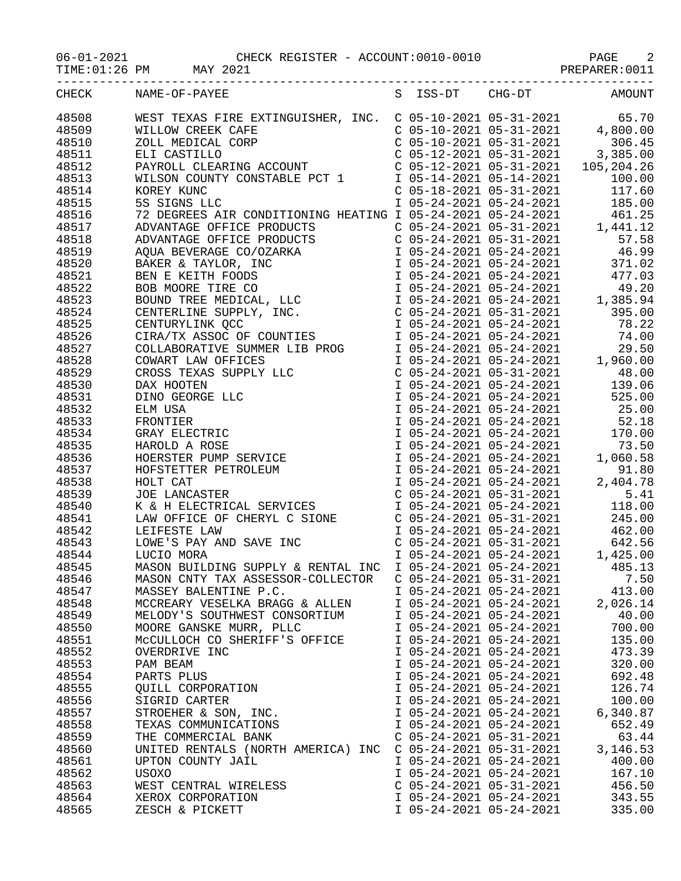| $06 - 01 - 2021$ |  |  |
|------------------|--|--|
|                  |  |  |

TIME:01:26 PM MAY 2021 2021 And the set of the PREPARER:0011

| CHECK | NAME-OF-PAYEE                                                     |                           |                           | S ISS-DT CHG-DT AMOUNT |
|-------|-------------------------------------------------------------------|---------------------------|---------------------------|------------------------|
|       |                                                                   |                           |                           |                        |
| 48508 |                                                                   |                           |                           |                        |
| 48509 |                                                                   |                           |                           |                        |
| 48510 |                                                                   |                           |                           |                        |
| 48511 |                                                                   |                           |                           |                        |
| 48512 |                                                                   |                           |                           |                        |
| 48513 |                                                                   |                           |                           |                        |
| 48514 |                                                                   |                           |                           |                        |
| 48515 |                                                                   |                           |                           |                        |
| 48516 |                                                                   |                           |                           |                        |
| 48517 |                                                                   |                           |                           |                        |
| 48518 |                                                                   |                           |                           |                        |
| 48519 |                                                                   |                           |                           |                        |
| 48520 |                                                                   |                           |                           |                        |
|       |                                                                   |                           |                           |                        |
| 48521 |                                                                   |                           |                           |                        |
| 48522 |                                                                   |                           |                           |                        |
| 48523 |                                                                   |                           |                           |                        |
| 48524 |                                                                   |                           |                           |                        |
| 48525 |                                                                   |                           |                           |                        |
| 48526 |                                                                   |                           |                           |                        |
| 48527 |                                                                   |                           |                           |                        |
| 48528 |                                                                   |                           |                           |                        |
| 48529 |                                                                   |                           |                           |                        |
| 48530 |                                                                   |                           |                           |                        |
| 48531 |                                                                   |                           |                           |                        |
| 48532 |                                                                   |                           |                           |                        |
|       |                                                                   |                           |                           |                        |
| 48533 |                                                                   |                           |                           |                        |
| 48534 |                                                                   |                           |                           |                        |
| 48535 |                                                                   |                           |                           |                        |
| 48536 |                                                                   |                           |                           |                        |
| 48537 |                                                                   |                           |                           |                        |
| 48538 |                                                                   |                           |                           |                        |
| 48539 |                                                                   |                           |                           |                        |
| 48540 |                                                                   |                           |                           |                        |
| 48541 |                                                                   |                           |                           |                        |
| 48542 |                                                                   |                           |                           |                        |
| 48543 |                                                                   |                           |                           |                        |
| 48544 |                                                                   |                           |                           |                        |
| 48545 | MASON BUILDING SUPPLY & RENTAL INC I 05-24-2021 05-24-2021 485.13 |                           |                           |                        |
| 48546 | MASON CNTY TAX ASSESSOR-COLLECTOR                                 |                           | $C$ 05-24-2021 05-31-2021 | 7.50                   |
| 48547 |                                                                   | I 05-24-2021 05-24-2021   |                           | 413.00                 |
|       | MASSEY BALENTINE P.C.                                             | I 05-24-2021 05-24-2021   |                           | 2,026.14               |
| 48548 | MCCREARY VESELKA BRAGG & ALLEN                                    |                           |                           |                        |
| 48549 | MELODY'S SOUTHWEST CONSORTIUM                                     | I 05-24-2021 05-24-2021   |                           | 40.00                  |
| 48550 | MOORE GANSKE MURR, PLLC                                           | I 05-24-2021 05-24-2021   |                           | 700.00                 |
| 48551 | MCCULLOCH CO SHERIFF'S OFFICE                                     | I 05-24-2021 05-24-2021   |                           | 135.00                 |
| 48552 | OVERDRIVE INC                                                     | I 05-24-2021 05-24-2021   |                           | 473.39                 |
| 48553 | PAM BEAM                                                          | I 05-24-2021 05-24-2021   |                           | 320.00                 |
| 48554 | PARTS PLUS                                                        | I 05-24-2021 05-24-2021   |                           | 692.48                 |
| 48555 | QUILL CORPORATION                                                 | I 05-24-2021 05-24-2021   |                           | 126.74                 |
| 48556 | SIGRID CARTER                                                     | I 05-24-2021 05-24-2021   |                           | 100.00                 |
| 48557 | STROEHER & SON, INC.                                              | I 05-24-2021 05-24-2021   |                           | 6,340.87               |
| 48558 | TEXAS COMMUNICATIONS                                              | I 05-24-2021 05-24-2021   |                           | 652.49                 |
| 48559 | THE COMMERCIAL BANK                                               | $C$ 05-24-2021 05-31-2021 |                           | 63.44                  |
| 48560 | UNITED RENTALS (NORTH AMERICA) INC                                | $C$ 05-24-2021 05-31-2021 |                           | 3, 146.53              |
| 48561 | UPTON COUNTY JAIL                                                 | I 05-24-2021 05-24-2021   |                           | 400.00                 |
|       |                                                                   |                           |                           |                        |
| 48562 | <b>USOXO</b>                                                      | I 05-24-2021 05-24-2021   |                           | 167.10                 |
| 48563 | WEST CENTRAL WIRELESS                                             | $C$ 05-24-2021 05-31-2021 |                           | 456.50                 |
| 48564 | XEROX CORPORATION                                                 | I 05-24-2021 05-24-2021   |                           | 343.55                 |
| 48565 | ZESCH & PICKETT                                                   | I 05-24-2021 05-24-2021   |                           | 335.00                 |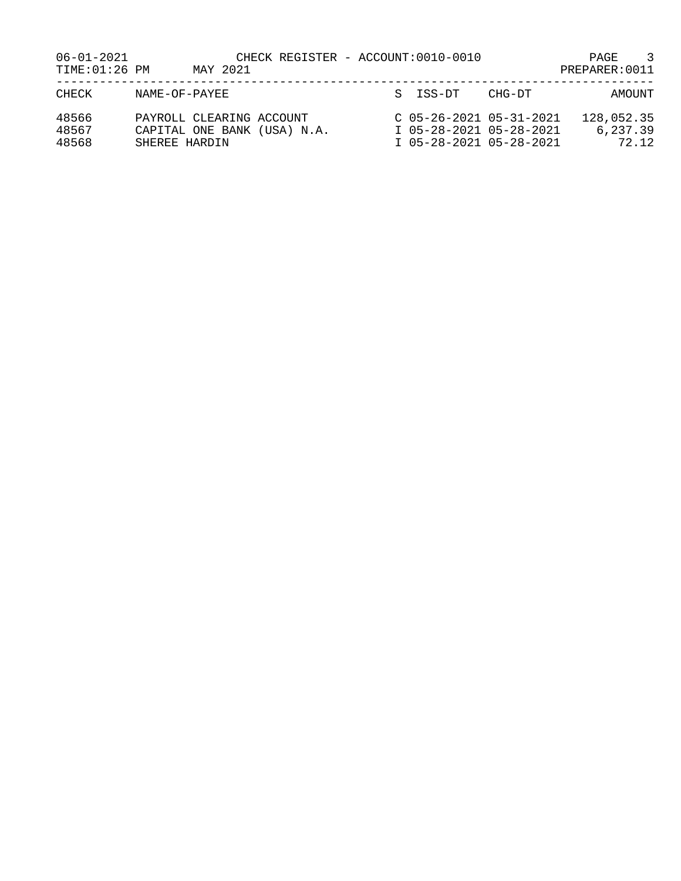| 06-01-2021<br>TIME: 01:26 PM |                                           | MAY 2021 | CHECK REGISTER - ACCOUNT:0010-0010 |  |          |                                                                                 | PAGE<br>PREPARER: 0011 | 3                               |
|------------------------------|-------------------------------------------|----------|------------------------------------|--|----------|---------------------------------------------------------------------------------|------------------------|---------------------------------|
| CHECK                        | NAME-OF-PAYEE                             |          |                                    |  | S ISS-DT | CHG-DT                                                                          |                        | AMOUNT                          |
| 48566<br>48567<br>48568      | PAYROLL CLEARING ACCOUNT<br>SHEREE HARDIN |          | CAPITAL ONE BANK (USA) N.A.        |  |          | $C$ 05-26-2021 05-31-2021<br>I 05-28-2021 05-28-2021<br>I 05-28-2021 05-28-2021 |                        | 128,052.35<br>6,237.39<br>72.12 |